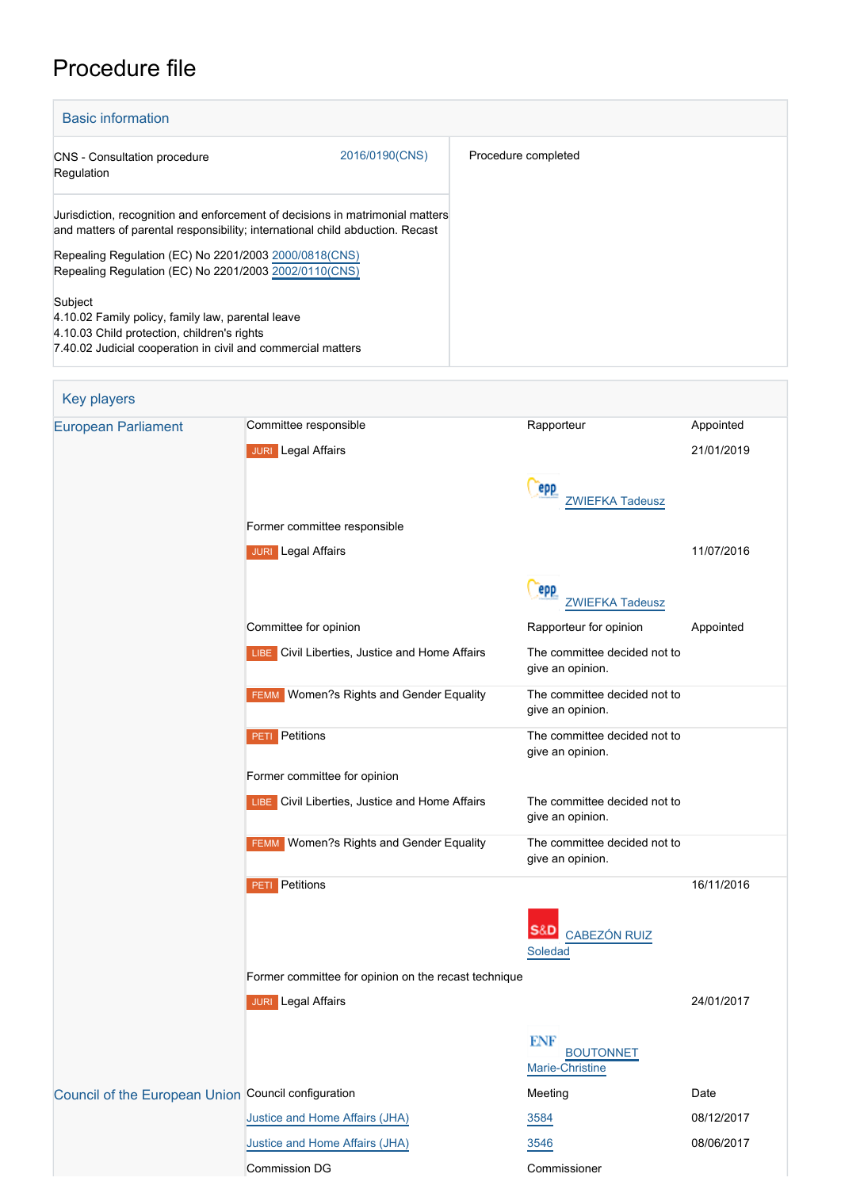## Procedure file

| <b>Basic information</b>                                                                                                                                                    |                |                     |
|-----------------------------------------------------------------------------------------------------------------------------------------------------------------------------|----------------|---------------------|
| CNS - Consultation procedure<br>Regulation                                                                                                                                  | 2016/0190(CNS) | Procedure completed |
| Uurisdiction, recognition and enforcement of decisions in matrimonial matters<br>and matters of parental responsibility; international child abduction. Recast              |                |                     |
| Repealing Regulation (EC) No 2201/2003 2000/0818(CNS)<br>Repealing Regulation (EC) No 2201/2003 2002/0110(CNS)                                                              |                |                     |
| Subject<br>4.10.02 Family policy, family law, parental leave<br>4.10.03 Child protection, children's rights<br>7.40.02 Judicial cooperation in civil and commercial matters |                |                     |

| <b>Key players</b>                                  |                                                      |                                                  |            |
|-----------------------------------------------------|------------------------------------------------------|--------------------------------------------------|------------|
| <b>European Parliament</b>                          | Committee responsible                                | Rapporteur                                       | Appointed  |
|                                                     | <b>JURI</b> Legal Affairs                            |                                                  | 21/01/2019 |
|                                                     |                                                      | epp                                              |            |
|                                                     |                                                      | <b>ZWIEFKA Tadeusz</b>                           |            |
|                                                     | Former committee responsible                         |                                                  |            |
|                                                     | <b>JURI</b> Legal Affairs                            |                                                  | 11/07/2016 |
|                                                     |                                                      | epp                                              |            |
|                                                     |                                                      | <b>ZWIEFKA Tadeusz</b>                           |            |
|                                                     | Committee for opinion                                | Rapporteur for opinion                           | Appointed  |
|                                                     | LIBE Civil Liberties, Justice and Home Affairs       | The committee decided not to<br>give an opinion. |            |
|                                                     | <b>FEMM</b> Women?s Rights and Gender Equality       | The committee decided not to<br>give an opinion. |            |
|                                                     | <b>PETI</b> Petitions                                | The committee decided not to<br>give an opinion. |            |
|                                                     | Former committee for opinion                         |                                                  |            |
|                                                     | LIBE Civil Liberties, Justice and Home Affairs       | The committee decided not to<br>give an opinion. |            |
|                                                     | <b>FEMM</b> Women?s Rights and Gender Equality       | The committee decided not to<br>give an opinion. |            |
|                                                     | <b>PETI</b> Petitions                                |                                                  | 16/11/2016 |
|                                                     |                                                      |                                                  |            |
|                                                     |                                                      | <b>CABEZÓN RUIZ</b><br>Soledad                   |            |
|                                                     | Former committee for opinion on the recast technique |                                                  |            |
|                                                     | <b>JURI</b> Legal Affairs                            |                                                  | 24/01/2017 |
|                                                     |                                                      |                                                  |            |
|                                                     |                                                      | <b>ENF</b><br><b>BOUTONNET</b>                   |            |
|                                                     |                                                      | Marie-Christine                                  |            |
| Council of the European Union Council configuration |                                                      | Meeting                                          | Date       |
|                                                     | Justice and Home Affairs (JHA)                       | 3584                                             | 08/12/2017 |
|                                                     | Justice and Home Affairs (JHA)                       | 3546                                             | 08/06/2017 |
|                                                     | Commission DG                                        | Commissioner                                     |            |